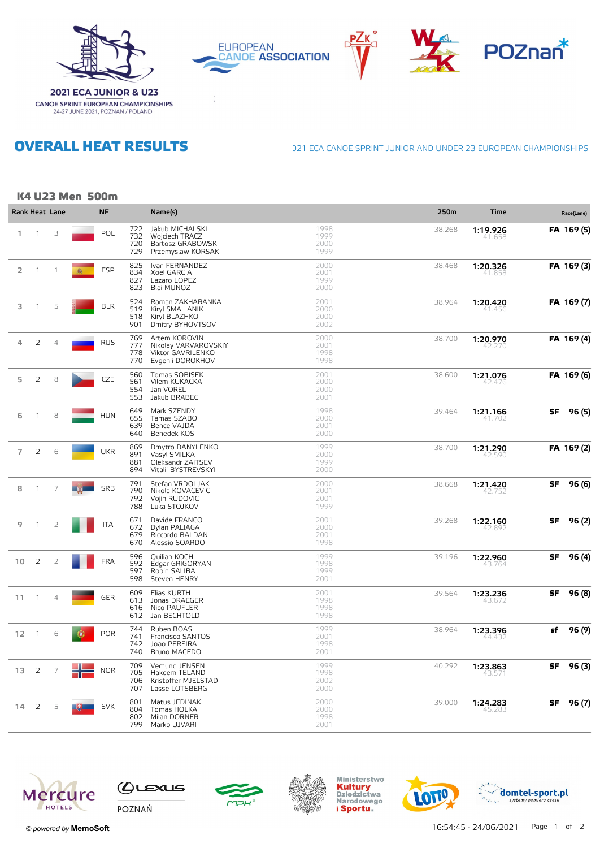









**OVERALL HEAT RESULTS** 

**CANOE SPRINT EUROPEAN CHAMPIONSHIPS**<br>24-27 JUNE 2021, POZNAN / POLAND

021 ECA CANOE SPRINT JUNIOR AND UNDER 23 EUROPEAN CHAMPIONSHIPS

## K4 U23 Men 500m

|                 |                | Rank Heat Lane |   | <b>NF</b>  |                          | Name(s)                                                                        |                              | 250m   | Time               |     | Race(Lane) |
|-----------------|----------------|----------------|---|------------|--------------------------|--------------------------------------------------------------------------------|------------------------------|--------|--------------------|-----|------------|
| 1.              | $\mathbf{1}$   | 3              |   | POL        | 722<br>732<br>720<br>729 | Jakub MICHALSKI<br>Wojciech TRACZ<br>Bartosz GRABOWSKI<br>Przemyslaw KORSAK    | 1998<br>1999<br>2000<br>1999 | 38.268 | 1:19.926<br>41.658 |     | FA 169 (5) |
| 2               | $\mathbf{1}$   | $\mathbf{1}$   | 癫 | <b>ESP</b> | 825<br>834<br>827<br>823 | Ivan FERNANDEZ<br>Xoel GARCIA<br>Lazaro LOPEZ<br>Blai MUNOZ                    | 2000<br>2001<br>1999<br>2000 | 38.468 | 1:20.326<br>41.855 |     | FA 169 (3) |
| 3               | $\mathbf{1}$   | 5              |   | <b>BLR</b> | 524<br>519<br>518<br>901 | Raman ZAKHARANKA<br>Kiryl SMALIANIK<br>Kiryl BLAZHKO<br>Dmitry BYHOVTSOV       | 2001<br>2000<br>2000<br>2002 | 38.964 | 1:20.420<br>41.456 |     | FA 169 (7) |
| 4               | 2              | $\overline{4}$ |   | <b>RUS</b> | 769<br>777<br>778<br>770 | Artem KOROVIN<br>Nikolay VARVAROVSKIY<br>Viktor GAVRILENKO<br>Evgenii DOROKHOV | 2000<br>2001<br>1998<br>1998 | 38.700 | 1:20.970<br>42.270 |     | FA 169 (4) |
| 5               | 2              | 8              |   | CZE        | 560<br>561<br>554<br>553 | Tomas SOBISEK<br>Vilem KUKACKA<br>Jan VOREL<br>Jakub BRABEC                    | 2001<br>2000<br>2000<br>2001 | 38.600 | 1:21.076<br>42.476 |     | FA 169 (6) |
| 6               | $\mathbf{1}$   | 8              |   | <b>HUN</b> | 649<br>655<br>639<br>640 | Mark SZENDY<br>Tamas SZABO<br>Bence VAJDA<br>Benedek KOS                       | 1998<br>2000<br>2001<br>2000 | 39.464 | 1:21.166<br>41./U2 | SF  | 96 (5)     |
| $\overline{7}$  | 2              | 6              |   | <b>UKR</b> | 869<br>891<br>881<br>894 | Dmytro DANYLENKO<br>Vasyl SMILKA<br>Oleksandr ZAITSEV<br>Vitalii BYSTREVSKYI   | 1999<br>2000<br>1999<br>2000 | 38.700 | 1:21.290<br>42.590 |     | FA 169(2)  |
| 8               | 1              | $\overline{7}$ |   | SRB        | 791<br>790<br>792<br>788 | Stefan VRDOLJAK<br>Nikola KOVACEVIC<br>Vojin RUDOVIC<br>Luka STOJKOV           | 2000<br>2001<br>2001<br>1999 | 38.668 | 1:21.420<br>42.752 | SF  | 96 (6)     |
| 9               | $\mathbf{1}$   | $\overline{2}$ |   | <b>ITA</b> | 671<br>672<br>679<br>670 | Davide FRANCO<br>Dylan PALIAGA<br>Riccardo BALDAN<br>Alessio SOARDO            | 2001<br>2000<br>2001<br>1998 | 39.268 | 1:22.160<br>42.892 | SF. | 96 (2)     |
| 10              | 2              | $\overline{2}$ |   | <b>FRA</b> | 596<br>592<br>597<br>598 | Quilian KOCH<br>Edgar GRIGORYAN<br>Robin SALIBA<br>Steven HENRY                | 1999<br>1998<br>1999<br>2001 | 39.196 | 1:22.960<br>43.764 | SF  | 96 (4)     |
| 11              | $\overline{1}$ | $\overline{4}$ |   | <b>GER</b> | 609<br>613<br>616<br>612 | Elias KURTH<br>Jonas DRAEGER<br>Nico PAUFLER<br>Jan BECHTOLD                   | 2001<br>1998<br>1998<br>1998 | 39.564 | 1:23.236<br>43.672 | SF  | 96 (8)     |
| 12 <sup>2</sup> | $\overline{1}$ | 6              |   | <b>POR</b> | 744<br>741<br>742<br>740 | Ruben BOAS<br>Francisco SANTOS<br>Joao PEREIRA<br>Bruno MACEDO                 | 1999<br>2001<br>1998<br>2001 | 38.964 | 1:23.396<br>44.432 | sf  | 96 (9)     |
| 13 <sup>2</sup> | 2              | 7              |   | <b>NOR</b> | 709<br>705<br>706<br>707 | Vemund JENSEN<br>Hakeem TELAND<br>Kristoffer MJELSTAD<br>Lasse LOTSBERG        | 1999<br>1998<br>2002<br>2000 | 40.292 | 1:23.863<br>43.57  | SF  | 96 (3)     |
| 14              | $\overline{2}$ | 5              |   | <b>SVK</b> | 801<br>804<br>802<br>799 | Matus JEDINAK<br>Tomas HOLKA<br>Milan DORNER<br>Marko UJVARI                   | 2000<br>2000<br>1998<br>2001 | 39.000 | 1:24.283<br>45.283 | SF  | 96 (7)     |









Ministerstwo<br>**Kultury**<br>Dziedzictwa<br>Narodowego i Sportu.